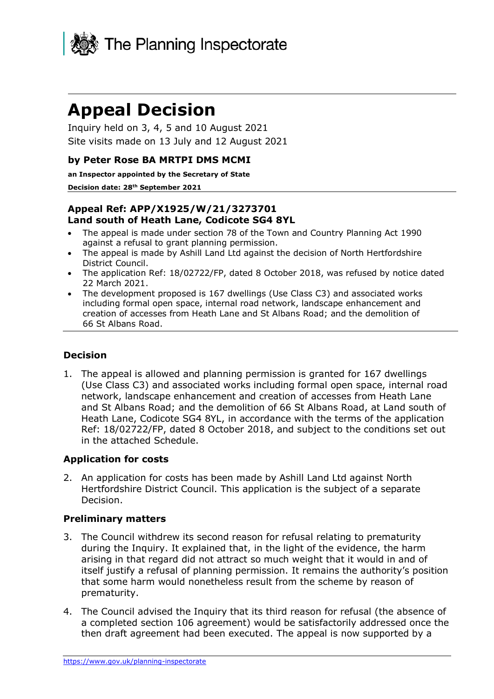

# **Appeal Decision**

Inquiry held on 3, 4, 5 and 10 August 2021 Site visits made on 13 July and 12 August 2021

## **by Peter Rose BA MRTPI DMS MCMI**

**an Inspector appointed by the Secretary of State**

**Decision date: 28th September 2021**

# **Appeal Ref: APP/X1925/W/21/3273701 Land south of Heath Lane, Codicote SG4 8YL**

- The appeal is made under section 78 of the Town and Country Planning Act 1990 against a refusal to grant planning permission.
- The appeal is made by Ashill Land Ltd against the decision of North Hertfordshire District Council.
- The application Ref: 18/02722/FP, dated 8 October 2018, was refused by notice dated 22 March 2021.
- The development proposed is 167 dwellings (Use Class C3) and associated works including formal open space, internal road network, landscape enhancement and creation of accesses from Heath Lane and St Albans Road; and the demolition of 66 St Albans Road.

## **Decision**

1. The appeal is allowed and planning permission is granted for 167 dwellings (Use Class C3) and associated works including formal open space, internal road network, landscape enhancement and creation of accesses from Heath Lane and St Albans Road; and the demolition of 66 St Albans Road, at Land south of Heath Lane, Codicote SG4 8YL, in accordance with the terms of the application Ref: 18/02722/FP, dated 8 October 2018, and subject to the conditions set out in the attached Schedule.

## **Application for costs**

2. An application for costs has been made by Ashill Land Ltd against North Hertfordshire District Council. This application is the subject of a separate Decision.

## **Preliminary matters**

- 3. The Council withdrew its second reason for refusal relating to prematurity during the Inquiry. It explained that, in the light of the evidence, the harm arising in that regard did not attract so much weight that it would in and of itself justify a refusal of planning permission. It remains the authority's position that some harm would nonetheless result from the scheme by reason of prematurity.
- 4. The Council advised the Inquiry that its third reason for refusal (the absence of a completed section 106 agreement) would be satisfactorily addressed once the then draft agreement had been executed. The appeal is now supported by a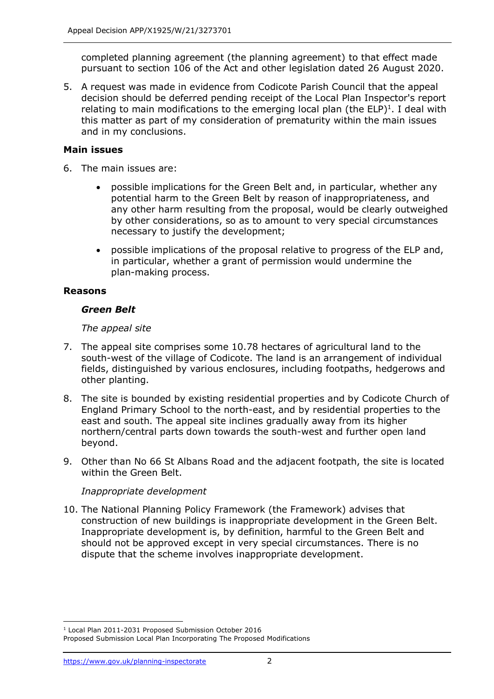completed planning agreement (the planning agreement) to that effect made pursuant to section 106 of the Act and other legislation dated 26 August 2020.

5. A request was made in evidence from Codicote Parish Council that the appeal decision should be deferred pending receipt of the Local Plan Inspector's report relating to main modifications to the emerging local plan (the ELP) $<sup>1</sup>$ . I deal with</sup> this matter as part of my consideration of prematurity within the main issues and in my conclusions.

## **Main issues**

- 6. The main issues are:
	- possible implications for the Green Belt and, in particular, whether any potential harm to the Green Belt by reason of inappropriateness, and any other harm resulting from the proposal, would be clearly outweighed by other considerations, so as to amount to very special circumstances necessary to justify the development;
	- possible implications of the proposal relative to progress of the ELP and, in particular, whether a grant of permission would undermine the plan-making process.

# **Reasons**

# *Green Belt*

# *The appeal site*

- 7. The appeal site comprises some 10.78 hectares of agricultural land to the south-west of the village of Codicote. The land is an arrangement of individual fields, distinguished by various enclosures, including footpaths, hedgerows and other planting.
- 8. The site is bounded by existing residential properties and by Codicote Church of England Primary School to the north-east, and by residential properties to the east and south. The appeal site inclines gradually away from its higher northern/central parts down towards the south-west and further open land beyond.
- 9. Other than No 66 St Albans Road and the adjacent footpath, the site is located within the Green Belt.

# *Inappropriate development*

10. The National Planning Policy Framework (the Framework) advises that construction of new buildings is inappropriate development in the Green Belt. Inappropriate development is, by definition, harmful to the Green Belt and should not be approved except in very special circumstances. There is no dispute that the scheme involves inappropriate development.

<sup>1</sup> Local Plan 2011-2031 Proposed Submission October 2016

Proposed Submission Local Plan Incorporating The Proposed Modifications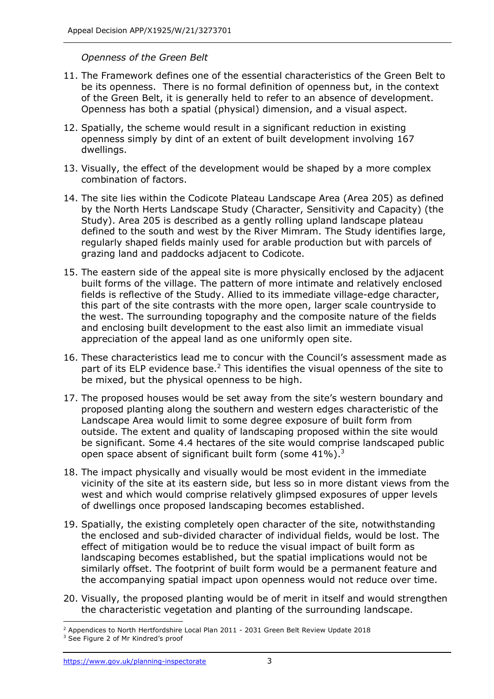## *Openness of the Green Belt*

- 11. The Framework defines one of the essential characteristics of the Green Belt to be its openness. There is no formal definition of openness but, in the context of the Green Belt, it is generally held to refer to an absence of development. Openness has both a spatial (physical) dimension, and a visual aspect.
- 12. Spatially, the scheme would result in a significant reduction in existing openness simply by dint of an extent of built development involving 167 dwellings.
- 13. Visually, the effect of the development would be shaped by a more complex combination of factors.
- 14. The site lies within the Codicote Plateau Landscape Area (Area 205) as defined by the North Herts Landscape Study (Character, Sensitivity and Capacity) (the Study). Area 205 is described as a gently rolling upland landscape plateau defined to the south and west by the River Mimram. The Study identifies large, regularly shaped fields mainly used for arable production but with parcels of grazing land and paddocks adjacent to Codicote.
- 15. The eastern side of the appeal site is more physically enclosed by the adjacent built forms of the village. The pattern of more intimate and relatively enclosed fields is reflective of the Study. Allied to its immediate village-edge character, this part of the site contrasts with the more open, larger scale countryside to the west. The surrounding topography and the composite nature of the fields and enclosing built development to the east also limit an immediate visual appreciation of the appeal land as one uniformly open site.
- 16. These characteristics lead me to concur with the Council's assessment made as part of its ELP evidence base.<sup>2</sup> This identifies the visual openness of the site to be mixed, but the physical openness to be high.
- 17. The proposed houses would be set away from the site's western boundary and proposed planting along the southern and western edges characteristic of the Landscape Area would limit to some degree exposure of built form from outside. The extent and quality of landscaping proposed within the site would be significant. Some 4.4 hectares of the site would comprise landscaped public open space absent of significant built form (some  $41\%$ ).<sup>3</sup>
- 18. The impact physically and visually would be most evident in the immediate vicinity of the site at its eastern side, but less so in more distant views from the west and which would comprise relatively glimpsed exposures of upper levels of dwellings once proposed landscaping becomes established.
- 19. Spatially, the existing completely open character of the site, notwithstanding the enclosed and sub-divided character of individual fields, would be lost. The effect of mitigation would be to reduce the visual impact of built form as landscaping becomes established, but the spatial implications would not be similarly offset. The footprint of built form would be a permanent feature and the accompanying spatial impact upon openness would not reduce over time.
- 20. Visually, the proposed planting would be of merit in itself and would strengthen the characteristic vegetation and planting of the surrounding landscape.

<sup>&</sup>lt;sup>2</sup> Appendices to North Hertfordshire Local Plan 2011 - 2031 Green Belt Review Update 2018

<sup>&</sup>lt;sup>3</sup> See Figure 2 of Mr Kindred's proof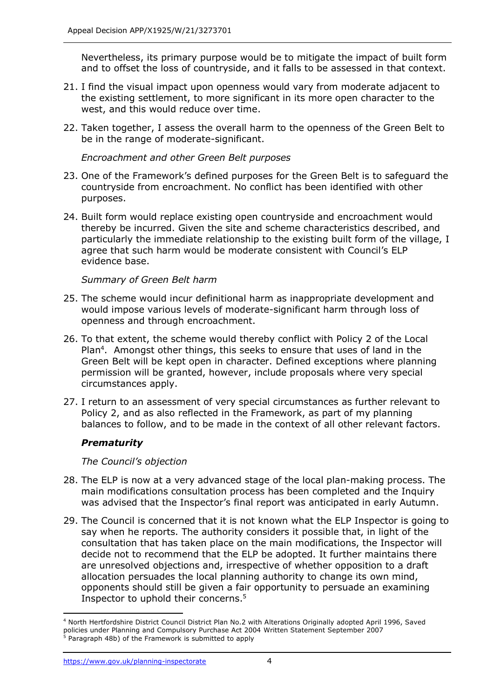Nevertheless, its primary purpose would be to mitigate the impact of built form and to offset the loss of countryside, and it falls to be assessed in that context.

- 21. I find the visual impact upon openness would vary from moderate adjacent to the existing settlement, to more significant in its more open character to the west, and this would reduce over time.
- 22. Taken together, I assess the overall harm to the openness of the Green Belt to be in the range of moderate-significant.

*Encroachment and other Green Belt purposes*

- 23. One of the Framework's defined purposes for the Green Belt is to safeguard the countryside from encroachment. No conflict has been identified with other purposes.
- 24. Built form would replace existing open countryside and encroachment would thereby be incurred. Given the site and scheme characteristics described, and particularly the immediate relationship to the existing built form of the village, I agree that such harm would be moderate consistent with Council's ELP evidence base.

*Summary of Green Belt harm*

- 25. The scheme would incur definitional harm as inappropriate development and would impose various levels of moderate-significant harm through loss of openness and through encroachment.
- 26. To that extent, the scheme would thereby conflict with Policy 2 of the Local Plan<sup>4</sup>. Amongst other things, this seeks to ensure that uses of land in the Green Belt will be kept open in character. Defined exceptions where planning permission will be granted, however, include proposals where very special circumstances apply.
- 27. I return to an assessment of very special circumstances as further relevant to Policy 2, and as also reflected in the Framework, as part of my planning balances to follow, and to be made in the context of all other relevant factors.

## *Prematurity*

*The Council's objection*

- 28. The ELP is now at a very advanced stage of the local plan-making process. The main modifications consultation process has been completed and the Inquiry was advised that the Inspector's final report was anticipated in early Autumn.
- 29. The Council is concerned that it is not known what the ELP Inspector is going to say when he reports. The authority considers it possible that, in light of the consultation that has taken place on the main modifications, the Inspector will decide not to recommend that the ELP be adopted. It further maintains there are unresolved objections and, irrespective of whether opposition to a draft allocation persuades the local planning authority to change its own mind, opponents should still be given a fair opportunity to persuade an examining Inspector to uphold their concerns. 5

<sup>4</sup> North Hertfordshire District Council District Plan No.2 with Alterations Originally adopted April 1996, Saved policies under Planning and Compulsory Purchase Act 2004 Written Statement September 2007 Paragraph 48b) of the Framework is submitted to apply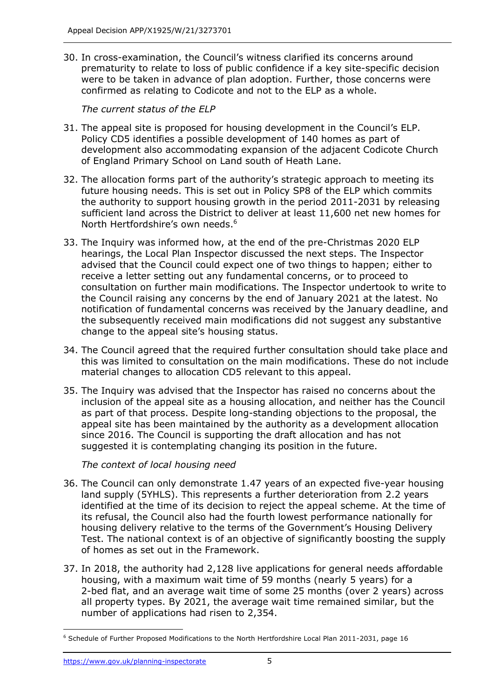30. In cross-examination, the Council's witness clarified its concerns around prematurity to relate to loss of public confidence if a key site-specific decision were to be taken in advance of plan adoption. Further, those concerns were confirmed as relating to Codicote and not to the ELP as a whole.

*The current status of the ELP*

- 31. The appeal site is proposed for housing development in the Council's ELP. Policy CD5 identifies a possible development of 140 homes as part of development also accommodating expansion of the adjacent Codicote Church of England Primary School on Land south of Heath Lane.
- 32. The allocation forms part of the authority's strategic approach to meeting its future housing needs. This is set out in Policy SP8 of the ELP which commits the authority to support housing growth in the period 2011-2031 by releasing sufficient land across the District to deliver at least 11,600 net new homes for North Hertfordshire's own needs. 6
- 33. The Inquiry was informed how, at the end of the pre-Christmas 2020 ELP hearings, the Local Plan Inspector discussed the next steps. The Inspector advised that the Council could expect one of two things to happen; either to receive a letter setting out any fundamental concerns, or to proceed to consultation on further main modifications. The Inspector undertook to write to the Council raising any concerns by the end of January 2021 at the latest. No notification of fundamental concerns was received by the January deadline, and the subsequently received main modifications did not suggest any substantive change to the appeal site's housing status.
- 34. The Council agreed that the required further consultation should take place and this was limited to consultation on the main modifications. These do not include material changes to allocation CD5 relevant to this appeal.
- 35. The Inquiry was advised that the Inspector has raised no concerns about the inclusion of the appeal site as a housing allocation, and neither has the Council as part of that process. Despite long-standing objections to the proposal, the appeal site has been maintained by the authority as a development allocation since 2016. The Council is supporting the draft allocation and has not suggested it is contemplating changing its position in the future.

*The context of local housing need*

- 36. The Council can only demonstrate 1.47 years of an expected five-year housing land supply (5YHLS). This represents a further deterioration from 2.2 years identified at the time of its decision to reject the appeal scheme. At the time of its refusal, the Council also had the fourth lowest performance nationally for housing delivery relative to the terms of the Government's Housing Delivery Test. The national context is of an objective of significantly boosting the supply of homes as set out in the Framework.
- 37. In 2018, the authority had 2,128 live applications for general needs affordable housing, with a maximum wait time of 59 months (nearly 5 years) for a 2-bed flat, and an average wait time of some 25 months (over 2 years) across all property types. By 2021, the average wait time remained similar, but the number of applications had risen to 2,354.

<sup>6</sup> Schedule of Further Proposed Modifications to the North Hertfordshire Local Plan 2011-2031, page 16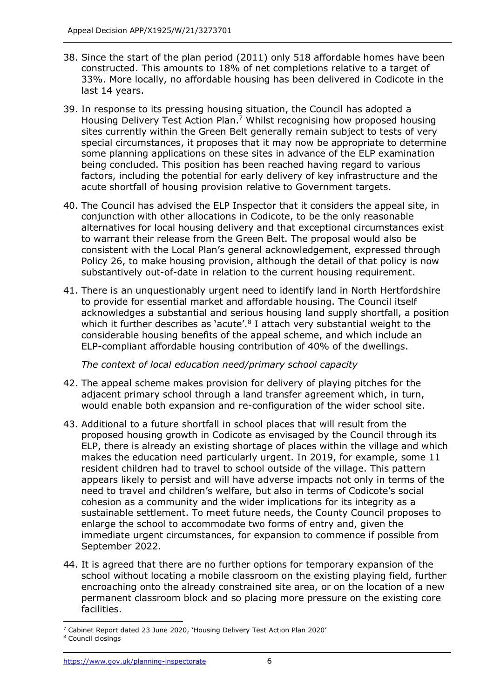- 38. Since the start of the plan period (2011) only 518 affordable homes have been constructed. This amounts to 18% of net completions relative to a target of 33%. More locally, no affordable housing has been delivered in Codicote in the last 14 years.
- 39. In response to its pressing housing situation, the Council has adopted a Housing Delivery Test Action Plan.<sup>7</sup> Whilst recognising how proposed housing sites currently within the Green Belt generally remain subject to tests of very special circumstances, it proposes that it may now be appropriate to determine some planning applications on these sites in advance of the ELP examination being concluded. This position has been reached having regard to various factors, including the potential for early delivery of key infrastructure and the acute shortfall of housing provision relative to Government targets.
- 40. The Council has advised the ELP Inspector that it considers the appeal site, in conjunction with other allocations in Codicote, to be the only reasonable alternatives for local housing delivery and that exceptional circumstances exist to warrant their release from the Green Belt. The proposal would also be consistent with the Local Plan's general acknowledgement, expressed through Policy 26, to make housing provision, although the detail of that policy is now substantively out-of-date in relation to the current housing requirement.
- 41. There is an unquestionably urgent need to identify land in North Hertfordshire to provide for essential market and affordable housing. The Council itself acknowledges a substantial and serious housing land supply shortfall, a position which it further describes as 'acute'.<sup>8</sup> I attach very substantial weight to the considerable housing benefits of the appeal scheme, and which include an ELP-compliant affordable housing contribution of 40% of the dwellings.

*The context of local education need/primary school capacity*

- 42. The appeal scheme makes provision for delivery of playing pitches for the adjacent primary school through a land transfer agreement which, in turn, would enable both expansion and re-configuration of the wider school site.
- 43. Additional to a future shortfall in school places that will result from the proposed housing growth in Codicote as envisaged by the Council through its ELP, there is already an existing shortage of places within the village and which makes the education need particularly urgent. In 2019, for example, some 11 resident children had to travel to school outside of the village. This pattern appears likely to persist and will have adverse impacts not only in terms of the need to travel and children's welfare, but also in terms of Codicote's social cohesion as a community and the wider implications for its integrity as a sustainable settlement. To meet future needs, the County Council proposes to enlarge the school to accommodate two forms of entry and, given the immediate urgent circumstances, for expansion to commence if possible from September 2022.
- 44. It is agreed that there are no further options for temporary expansion of the school without locating a mobile classroom on the existing playing field, further encroaching onto the already constrained site area, or on the location of a new permanent classroom block and so placing more pressure on the existing core facilities.

<sup>7</sup> Cabinet Report dated 23 June 2020, 'Housing Delivery Test Action Plan 2020'

<sup>8</sup> Council closings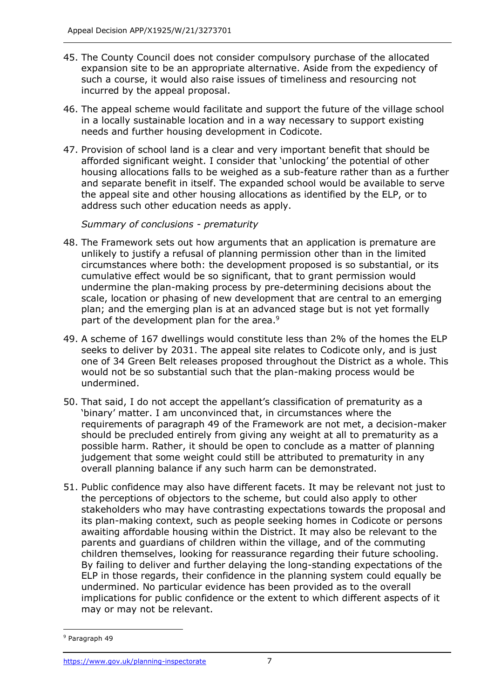- 45. The County Council does not consider compulsory purchase of the allocated expansion site to be an appropriate alternative. Aside from the expediency of such a course, it would also raise issues of timeliness and resourcing not incurred by the appeal proposal.
- 46. The appeal scheme would facilitate and support the future of the village school in a locally sustainable location and in a way necessary to support existing needs and further housing development in Codicote.
- 47. Provision of school land is a clear and very important benefit that should be afforded significant weight. I consider that 'unlocking' the potential of other housing allocations falls to be weighed as a sub-feature rather than as a further and separate benefit in itself. The expanded school would be available to serve the appeal site and other housing allocations as identified by the ELP, or to address such other education needs as apply.

*Summary of conclusions - prematurity*

- 48. The Framework sets out how arguments that an application is premature are unlikely to justify a refusal of planning permission other than in the limited circumstances where both: the development proposed is so substantial, or its cumulative effect would be so significant, that to grant permission would undermine the plan-making process by pre-determining decisions about the scale, location or phasing of new development that are central to an emerging plan; and the emerging plan is at an advanced stage but is not yet formally part of the development plan for the area.<sup>9</sup>
- 49. A scheme of 167 dwellings would constitute less than 2% of the homes the ELP seeks to deliver by 2031. The appeal site relates to Codicote only, and is just one of 34 Green Belt releases proposed throughout the District as a whole. This would not be so substantial such that the plan-making process would be undermined.
- 50. That said, I do not accept the appellant's classification of prematurity as a 'binary' matter. I am unconvinced that, in circumstances where the requirements of paragraph 49 of the Framework are not met, a decision-maker should be precluded entirely from giving any weight at all to prematurity as a possible harm. Rather, it should be open to conclude as a matter of planning judgement that some weight could still be attributed to prematurity in any overall planning balance if any such harm can be demonstrated.
- 51. Public confidence may also have different facets. It may be relevant not just to the perceptions of objectors to the scheme, but could also apply to other stakeholders who may have contrasting expectations towards the proposal and its plan-making context, such as people seeking homes in Codicote or persons awaiting affordable housing within the District. It may also be relevant to the parents and guardians of children within the village, and of the commuting children themselves, looking for reassurance regarding their future schooling. By failing to deliver and further delaying the long-standing expectations of the ELP in those regards, their confidence in the planning system could equally be undermined. No particular evidence has been provided as to the overall implications for public confidence or the extent to which different aspects of it may or may not be relevant.

<sup>9</sup> Paragraph 49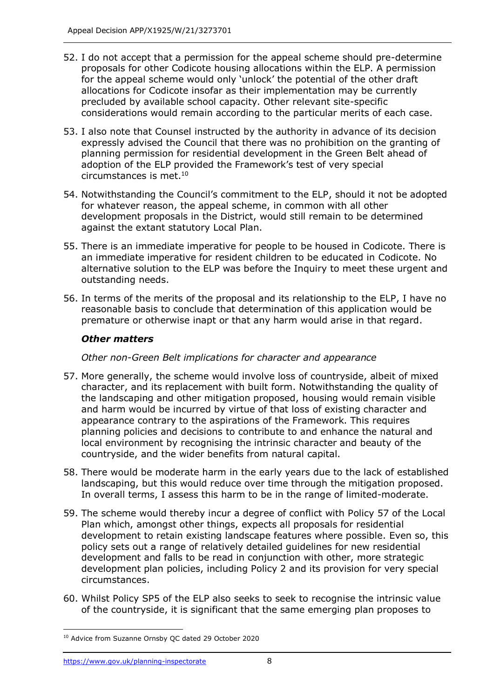- 52. I do not accept that a permission for the appeal scheme should pre-determine proposals for other Codicote housing allocations within the ELP. A permission for the appeal scheme would only 'unlock' the potential of the other draft allocations for Codicote insofar as their implementation may be currently precluded by available school capacity. Other relevant site-specific considerations would remain according to the particular merits of each case.
- 53. I also note that Counsel instructed by the authority in advance of its decision expressly advised the Council that there was no prohibition on the granting of planning permission for residential development in the Green Belt ahead of adoption of the ELP provided the Framework's test of very special circumstances is met. 10
- 54. Notwithstanding the Council's commitment to the ELP, should it not be adopted for whatever reason, the appeal scheme, in common with all other development proposals in the District, would still remain to be determined against the extant statutory Local Plan.
- 55. There is an immediate imperative for people to be housed in Codicote. There is an immediate imperative for resident children to be educated in Codicote. No alternative solution to the ELP was before the Inquiry to meet these urgent and outstanding needs.
- 56. In terms of the merits of the proposal and its relationship to the ELP, I have no reasonable basis to conclude that determination of this application would be premature or otherwise inapt or that any harm would arise in that regard.

# *Other matters*

# *Other non-Green Belt implications for character and appearance*

- 57. More generally, the scheme would involve loss of countryside, albeit of mixed character, and its replacement with built form. Notwithstanding the quality of the landscaping and other mitigation proposed, housing would remain visible and harm would be incurred by virtue of that loss of existing character and appearance contrary to the aspirations of the Framework. This requires planning policies and decisions to contribute to and enhance the natural and local environment by recognising the intrinsic character and beauty of the countryside, and the wider benefits from natural capital.
- 58. There would be moderate harm in the early years due to the lack of established landscaping, but this would reduce over time through the mitigation proposed. In overall terms, I assess this harm to be in the range of limited-moderate.
- 59. The scheme would thereby incur a degree of conflict with Policy 57 of the Local Plan which, amongst other things, expects all proposals for residential development to retain existing landscape features where possible. Even so, this policy sets out a range of relatively detailed guidelines for new residential development and falls to be read in conjunction with other, more strategic development plan policies, including Policy 2 and its provision for very special circumstances.
- 60. Whilst Policy SP5 of the ELP also seeks to seek to recognise the intrinsic value of the countryside, it is significant that the same emerging plan proposes to

<sup>10</sup> Advice from Suzanne Ornsby QC dated 29 October 2020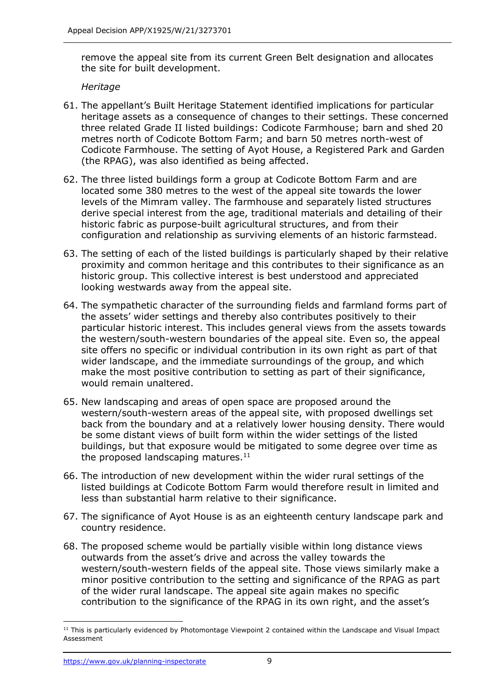remove the appeal site from its current Green Belt designation and allocates the site for built development.

*Heritage*

- 61. The appellant's Built Heritage Statement identified implications for particular heritage assets as a consequence of changes to their settings. These concerned three related Grade II listed buildings: Codicote Farmhouse; barn and shed 20 metres north of Codicote Bottom Farm; and barn 50 metres north-west of Codicote Farmhouse. The setting of Ayot House, a Registered Park and Garden (the RPAG), was also identified as being affected.
- 62. The three listed buildings form a group at Codicote Bottom Farm and are located some 380 metres to the west of the appeal site towards the lower levels of the Mimram valley. The farmhouse and separately listed structures derive special interest from the age, traditional materials and detailing of their historic fabric as purpose-built agricultural structures, and from their configuration and relationship as surviving elements of an historic farmstead.
- 63. The setting of each of the listed buildings is particularly shaped by their relative proximity and common heritage and this contributes to their significance as an historic group. This collective interest is best understood and appreciated looking westwards away from the appeal site.
- 64. The sympathetic character of the surrounding fields and farmland forms part of the assets' wider settings and thereby also contributes positively to their particular historic interest. This includes general views from the assets towards the western/south-western boundaries of the appeal site. Even so, the appeal site offers no specific or individual contribution in its own right as part of that wider landscape, and the immediate surroundings of the group, and which make the most positive contribution to setting as part of their significance, would remain unaltered.
- 65. New landscaping and areas of open space are proposed around the western/south-western areas of the appeal site, with proposed dwellings set back from the boundary and at a relatively lower housing density. There would be some distant views of built form within the wider settings of the listed buildings, but that exposure would be mitigated to some degree over time as the proposed landscaping matures. $11$
- 66. The introduction of new development within the wider rural settings of the listed buildings at Codicote Bottom Farm would therefore result in limited and less than substantial harm relative to their significance.
- 67. The significance of Ayot House is as an eighteenth century landscape park and country residence.
- 68. The proposed scheme would be partially visible within long distance views outwards from the asset's drive and across the valley towards the western/south-western fields of the appeal site. Those views similarly make a minor positive contribution to the setting and significance of the RPAG as part of the wider rural landscape. The appeal site again makes no specific contribution to the significance of the RPAG in its own right, and the asset's

 $11$  This is particularly evidenced by Photomontage Viewpoint 2 contained within the Landscape and Visual Impact Assessment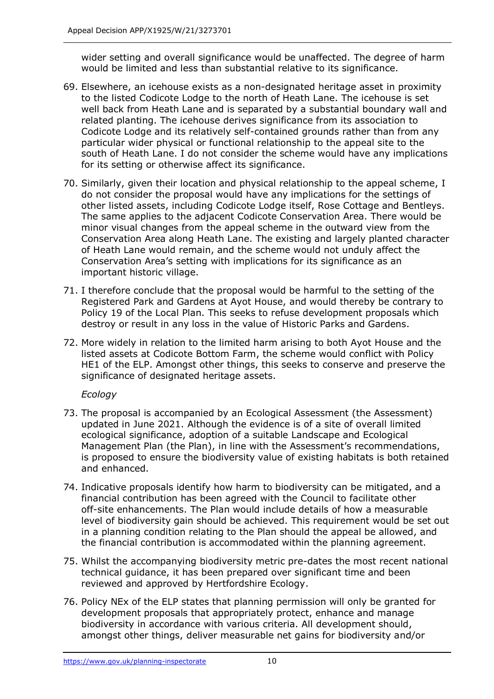wider setting and overall significance would be unaffected. The degree of harm would be limited and less than substantial relative to its significance.

- 69. Elsewhere, an icehouse exists as a non-designated heritage asset in proximity to the listed Codicote Lodge to the north of Heath Lane. The icehouse is set well back from Heath Lane and is separated by a substantial boundary wall and related planting. The icehouse derives significance from its association to Codicote Lodge and its relatively self-contained grounds rather than from any particular wider physical or functional relationship to the appeal site to the south of Heath Lane. I do not consider the scheme would have any implications for its setting or otherwise affect its significance.
- 70. Similarly, given their location and physical relationship to the appeal scheme, I do not consider the proposal would have any implications for the settings of other listed assets, including Codicote Lodge itself, Rose Cottage and Bentleys. The same applies to the adjacent Codicote Conservation Area. There would be minor visual changes from the appeal scheme in the outward view from the Conservation Area along Heath Lane. The existing and largely planted character of Heath Lane would remain, and the scheme would not unduly affect the Conservation Area's setting with implications for its significance as an important historic village.
- 71. I therefore conclude that the proposal would be harmful to the setting of the Registered Park and Gardens at Ayot House, and would thereby be contrary to Policy 19 of the Local Plan. This seeks to refuse development proposals which destroy or result in any loss in the value of Historic Parks and Gardens.
- 72. More widely in relation to the limited harm arising to both Ayot House and the listed assets at Codicote Bottom Farm, the scheme would conflict with Policy HE1 of the ELP. Amongst other things, this seeks to conserve and preserve the significance of designated heritage assets.

## *Ecology*

- 73. The proposal is accompanied by an Ecological Assessment (the Assessment) updated in June 2021. Although the evidence is of a site of overall limited ecological significance, adoption of a suitable Landscape and Ecological Management Plan (the Plan), in line with the Assessment's recommendations, is proposed to ensure the biodiversity value of existing habitats is both retained and enhanced.
- 74. Indicative proposals identify how harm to biodiversity can be mitigated, and a financial contribution has been agreed with the Council to facilitate other off-site enhancements. The Plan would include details of how a measurable level of biodiversity gain should be achieved. This requirement would be set out in a planning condition relating to the Plan should the appeal be allowed, and the financial contribution is accommodated within the planning agreement.
- 75. Whilst the accompanying biodiversity metric pre-dates the most recent national technical guidance, it has been prepared over significant time and been reviewed and approved by Hertfordshire Ecology.
- 76. Policy NEx of the ELP states that planning permission will only be granted for development proposals that appropriately protect, enhance and manage biodiversity in accordance with various criteria. All development should, amongst other things, deliver measurable net gains for biodiversity and/or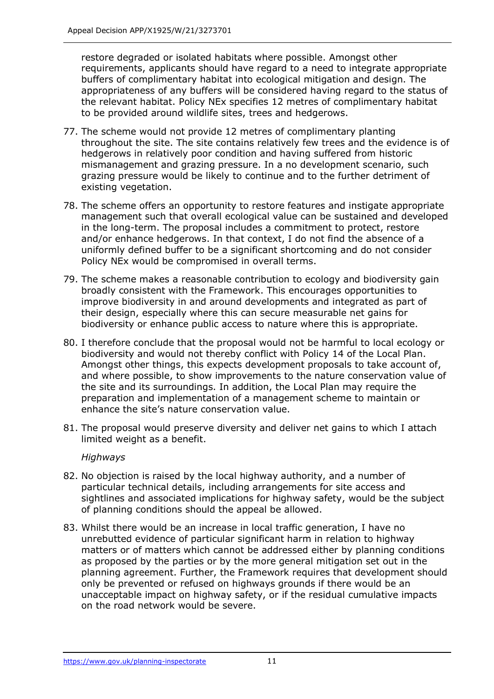restore degraded or isolated habitats where possible. Amongst other requirements, applicants should have regard to a need to integrate appropriate buffers of complimentary habitat into ecological mitigation and design. The appropriateness of any buffers will be considered having regard to the status of the relevant habitat. Policy NEx specifies 12 metres of complimentary habitat to be provided around wildlife sites, trees and hedgerows.

- 77. The scheme would not provide 12 metres of complimentary planting throughout the site. The site contains relatively few trees and the evidence is of hedgerows in relatively poor condition and having suffered from historic mismanagement and grazing pressure. In a no development scenario, such grazing pressure would be likely to continue and to the further detriment of existing vegetation.
- 78. The scheme offers an opportunity to restore features and instigate appropriate management such that overall ecological value can be sustained and developed in the long-term. The proposal includes a commitment to protect, restore and/or enhance hedgerows. In that context, I do not find the absence of a uniformly defined buffer to be a significant shortcoming and do not consider Policy NEx would be compromised in overall terms.
- 79. The scheme makes a reasonable contribution to ecology and biodiversity gain broadly consistent with the Framework. This encourages opportunities to improve biodiversity in and around developments and integrated as part of their design, especially where this can secure measurable net gains for biodiversity or enhance public access to nature where this is appropriate.
- 80. I therefore conclude that the proposal would not be harmful to local ecology or biodiversity and would not thereby conflict with Policy 14 of the Local Plan. Amongst other things, this expects development proposals to take account of, and where possible, to show improvements to the nature conservation value of the site and its surroundings. In addition, the Local Plan may require the preparation and implementation of a management scheme to maintain or enhance the site's nature conservation value.
- 81. The proposal would preserve diversity and deliver net gains to which I attach limited weight as a benefit.

## *Highways*

- 82. No objection is raised by the local highway authority, and a number of particular technical details, including arrangements for site access and sightlines and associated implications for highway safety, would be the subject of planning conditions should the appeal be allowed.
- 83. Whilst there would be an increase in local traffic generation, I have no unrebutted evidence of particular significant harm in relation to highway matters or of matters which cannot be addressed either by planning conditions as proposed by the parties or by the more general mitigation set out in the planning agreement. Further, the Framework requires that development should only be prevented or refused on highways grounds if there would be an unacceptable impact on highway safety, or if the residual cumulative impacts on the road network would be severe.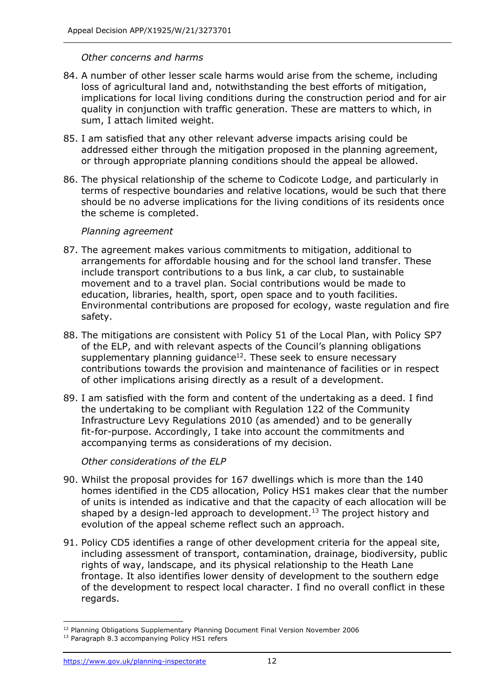#### *Other concerns and harms*

- 84. A number of other lesser scale harms would arise from the scheme, including loss of agricultural land and, notwithstanding the best efforts of mitigation, implications for local living conditions during the construction period and for air quality in conjunction with traffic generation. These are matters to which, in sum, I attach limited weight.
- 85. I am satisfied that any other relevant adverse impacts arising could be addressed either through the mitigation proposed in the planning agreement, or through appropriate planning conditions should the appeal be allowed.
- 86. The physical relationship of the scheme to Codicote Lodge, and particularly in terms of respective boundaries and relative locations, would be such that there should be no adverse implications for the living conditions of its residents once the scheme is completed.

#### *Planning agreement*

- 87. The agreement makes various commitments to mitigation, additional to arrangements for affordable housing and for the school land transfer. These include transport contributions to a bus link, a car club, to sustainable movement and to a travel plan. Social contributions would be made to education, libraries, health, sport, open space and to youth facilities. Environmental contributions are proposed for ecology, waste regulation and fire safety.
- 88. The mitigations are consistent with Policy 51 of the Local Plan, with Policy SP7 of the ELP, and with relevant aspects of the Council's planning obligations supplementary planning quidance $12$ . These seek to ensure necessary contributions towards the provision and maintenance of facilities or in respect of other implications arising directly as a result of a development.
- 89. I am satisfied with the form and content of the undertaking as a deed. I find the undertaking to be compliant with Regulation 122 of the Community Infrastructure Levy Regulations 2010 (as amended) and to be generally fit-for-purpose. Accordingly, I take into account the commitments and accompanying terms as considerations of my decision.

## *Other considerations of the ELP*

- 90. Whilst the proposal provides for 167 dwellings which is more than the 140 homes identified in the CD5 allocation, Policy HS1 makes clear that the number of units is intended as indicative and that the capacity of each allocation will be shaped by a design-led approach to development.<sup>13</sup> The project history and evolution of the appeal scheme reflect such an approach.
- 91. Policy CD5 identifies a range of other development criteria for the appeal site, including assessment of transport, contamination, drainage, biodiversity, public rights of way, landscape, and its physical relationship to the Heath Lane frontage. It also identifies lower density of development to the southern edge of the development to respect local character. I find no overall conflict in these regards.

<sup>&</sup>lt;sup>12</sup> Planning Obligations Supplementary Planning Document Final Version November 2006

<sup>&</sup>lt;sup>13</sup> Paragraph 8.3 accompanying Policy HS1 refers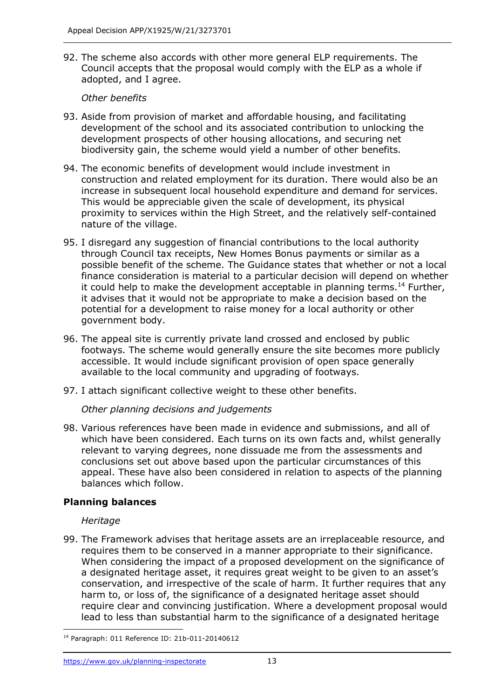92. The scheme also accords with other more general ELP requirements. The Council accepts that the proposal would comply with the ELP as a whole if adopted, and I agree.

# *Other benefits*

- 93. Aside from provision of market and affordable housing, and facilitating development of the school and its associated contribution to unlocking the development prospects of other housing allocations, and securing net biodiversity gain, the scheme would yield a number of other benefits.
- 94. The economic benefits of development would include investment in construction and related employment for its duration. There would also be an increase in subsequent local household expenditure and demand for services. This would be appreciable given the scale of development, its physical proximity to services within the High Street, and the relatively self-contained nature of the village.
- 95. I disregard any suggestion of financial contributions to the local authority through Council tax receipts, New Homes Bonus payments or similar as a possible benefit of the scheme. The Guidance states that whether or not a local finance consideration is material to a particular decision will depend on whether it could help to make the development acceptable in planning terms.<sup>14</sup> Further, it advises that it would not be appropriate to make a decision based on the potential for a development to raise money for a local authority or other government body.
- 96. The appeal site is currently private land crossed and enclosed by public footways. The scheme would generally ensure the site becomes more publicly accessible. It would include significant provision of open space generally available to the local community and upgrading of footways.
- 97. I attach significant collective weight to these other benefits.

# *Other planning decisions and judgements*

98. Various references have been made in evidence and submissions, and all of which have been considered. Each turns on its own facts and, whilst generally relevant to varying degrees, none dissuade me from the assessments and conclusions set out above based upon the particular circumstances of this appeal. These have also been considered in relation to aspects of the planning balances which follow.

# **Planning balances**

## *Heritage*

99. The Framework advises that heritage assets are an irreplaceable resource, and requires them to be conserved in a manner appropriate to their significance. When considering the impact of a proposed development on the significance of a designated heritage asset, it requires great weight to be given to an asset's conservation, and irrespective of the scale of harm. It further requires that any harm to, or loss of, the significance of a designated heritage asset should require clear and convincing justification. Where a development proposal would lead to less than substantial harm to the significance of a designated heritage

<sup>14</sup> Paragraph: 011 Reference ID: 21b-011-20140612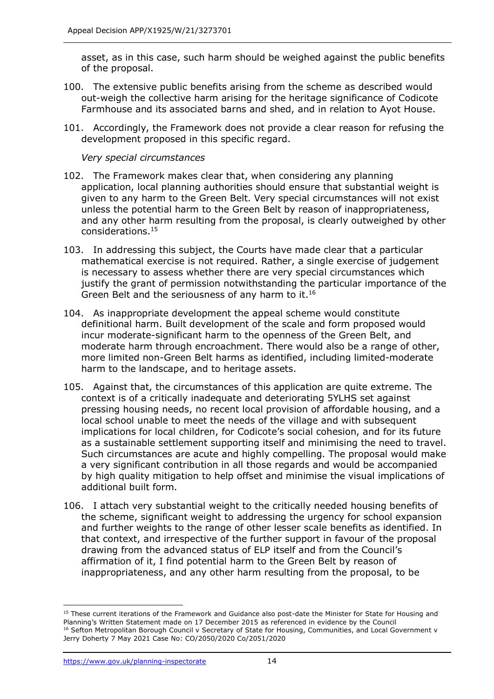asset, as in this case, such harm should be weighed against the public benefits of the proposal.

- 100. The extensive public benefits arising from the scheme as described would out-weigh the collective harm arising for the heritage significance of Codicote Farmhouse and its associated barns and shed, and in relation to Ayot House.
- 101. Accordingly, the Framework does not provide a clear reason for refusing the development proposed in this specific regard.

*Very special circumstances*

- 102. The Framework makes clear that, when considering any planning application, local planning authorities should ensure that substantial weight is given to any harm to the Green Belt. Very special circumstances will not exist unless the potential harm to the Green Belt by reason of inappropriateness, and any other harm resulting from the proposal, is clearly outweighed by other considerations.<sup>15</sup>
- 103. In addressing this subject, the Courts have made clear that a particular mathematical exercise is not required. Rather, a single exercise of judgement is necessary to assess whether there are very special circumstances which justify the grant of permission notwithstanding the particular importance of the Green Belt and the seriousness of any harm to it.<sup>16</sup>
- 104. As inappropriate development the appeal scheme would constitute definitional harm. Built development of the scale and form proposed would incur moderate-significant harm to the openness of the Green Belt, and moderate harm through encroachment. There would also be a range of other, more limited non-Green Belt harms as identified, including limited-moderate harm to the landscape, and to heritage assets.
- 105. Against that, the circumstances of this application are quite extreme. The context is of a critically inadequate and deteriorating 5YLHS set against pressing housing needs, no recent local provision of affordable housing, and a local school unable to meet the needs of the village and with subsequent implications for local children, for Codicote's social cohesion, and for its future as a sustainable settlement supporting itself and minimising the need to travel. Such circumstances are acute and highly compelling. The proposal would make a very significant contribution in all those regards and would be accompanied by high quality mitigation to help offset and minimise the visual implications of additional built form.
- 106. I attach very substantial weight to the critically needed housing benefits of the scheme, significant weight to addressing the urgency for school expansion and further weights to the range of other lesser scale benefits as identified. In that context, and irrespective of the further support in favour of the proposal drawing from the advanced status of ELP itself and from the Council's affirmation of it, I find potential harm to the Green Belt by reason of inappropriateness, and any other harm resulting from the proposal, to be

<sup>&</sup>lt;sup>15</sup> These current iterations of the Framework and Guidance also post-date the Minister for State for Housing and Planning's Written Statement made on 17 December 2015 as referenced in evidence by the Council <sup>16</sup> Sefton Metropolitan Borough Council v Secretary of State for Housing, Communities, and Local Government v Jerry Doherty 7 May 2021 Case No: CO/2050/2020 Co/2051/2020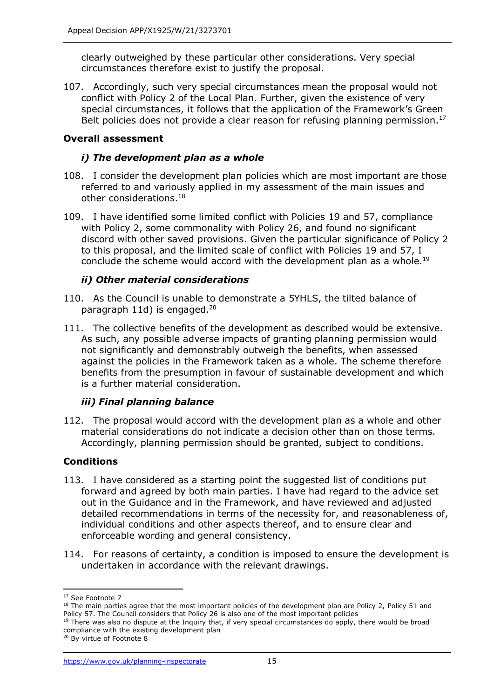clearly outweighed by these particular other considerations. Very special circumstances therefore exist to justify the proposal.

107. Accordingly, such very special circumstances mean the proposal would not conflict with Policy 2 of the Local Plan. Further, given the existence of very special circumstances, it follows that the application of the Framework's Green Belt policies does not provide a clear reason for refusing planning permission.<sup>17</sup>

# **Overall assessment**

## *i) The development plan as a whole*

- 108. I consider the development plan policies which are most important are those referred to and variously applied in my assessment of the main issues and other considerations.<sup>18</sup>
- 109. I have identified some limited conflict with Policies 19 and 57, compliance with Policy 2, some commonality with Policy 26, and found no significant discord with other saved provisions. Given the particular significance of Policy 2 to this proposal, and the limited scale of conflict with Policies 19 and 57, I conclude the scheme would accord with the development plan as a whole.<sup>19</sup>

# *ii) Other material considerations*

- 110. As the Council is unable to demonstrate a 5YHLS, the tilted balance of paragraph 11d) is engaged.<sup>20</sup>
- 111. The collective benefits of the development as described would be extensive. As such, any possible adverse impacts of granting planning permission would not significantly and demonstrably outweigh the benefits, when assessed against the policies in the Framework taken as a whole. The scheme therefore benefits from the presumption in favour of sustainable development and which is a further material consideration.

## *iii) Final planning balance*

112. The proposal would accord with the development plan as a whole and other material considerations do not indicate a decision other than on those terms. Accordingly, planning permission should be granted, subject to conditions.

## **Conditions**

- 113. I have considered as a starting point the suggested list of conditions put forward and agreed by both main parties. I have had regard to the advice set out in the Guidance and in the Framework, and have reviewed and adjusted detailed recommendations in terms of the necessity for, and reasonableness of, individual conditions and other aspects thereof, and to ensure clear and enforceable wording and general consistency.
- 114. For reasons of certainty, a condition is imposed to ensure the development is undertaken in accordance with the relevant drawings.

<sup>&</sup>lt;sup>17</sup> See Footnote 7

<sup>&</sup>lt;sup>18</sup> The main parties agree that the most important policies of the development plan are Policy 2, Policy 51 and Policy 57. The Council considers that Policy 26 is also one of the most important policies

<sup>&</sup>lt;sup>19</sup> There was also no dispute at the Inquiry that, if very special circumstances do apply, there would be broad compliance with the existing development plan

<sup>&</sup>lt;sup>20</sup> By virtue of Footnote 8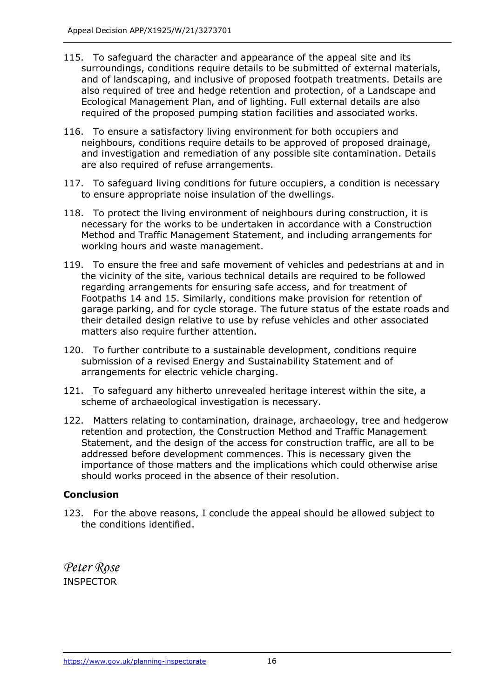- 115. To safeguard the character and appearance of the appeal site and its surroundings, conditions require details to be submitted of external materials, and of landscaping, and inclusive of proposed footpath treatments. Details are also required of tree and hedge retention and protection, of a Landscape and Ecological Management Plan, and of lighting. Full external details are also required of the proposed pumping station facilities and associated works.
- 116. To ensure a satisfactory living environment for both occupiers and neighbours, conditions require details to be approved of proposed drainage, and investigation and remediation of any possible site contamination. Details are also required of refuse arrangements.
- 117. To safeguard living conditions for future occupiers, a condition is necessary to ensure appropriate noise insulation of the dwellings.
- 118. To protect the living environment of neighbours during construction, it is necessary for the works to be undertaken in accordance with a Construction Method and Traffic Management Statement, and including arrangements for working hours and waste management.
- 119. To ensure the free and safe movement of vehicles and pedestrians at and in the vicinity of the site, various technical details are required to be followed regarding arrangements for ensuring safe access, and for treatment of Footpaths 14 and 15. Similarly, conditions make provision for retention of garage parking, and for cycle storage. The future status of the estate roads and their detailed design relative to use by refuse vehicles and other associated matters also require further attention.
- 120. To further contribute to a sustainable development, conditions require submission of a revised Energy and Sustainability Statement and of arrangements for electric vehicle charging.
- 121. To safeguard any hitherto unrevealed heritage interest within the site, a scheme of archaeological investigation is necessary.
- 122. Matters relating to contamination, drainage, archaeology, tree and hedgerow retention and protection, the Construction Method and Traffic Management Statement, and the design of the access for construction traffic, are all to be addressed before development commences. This is necessary given the importance of those matters and the implications which could otherwise arise should works proceed in the absence of their resolution.

## **Conclusion**

123. For the above reasons, I conclude the appeal should be allowed subject to the conditions identified.

*Peter Rose* INSPECTOR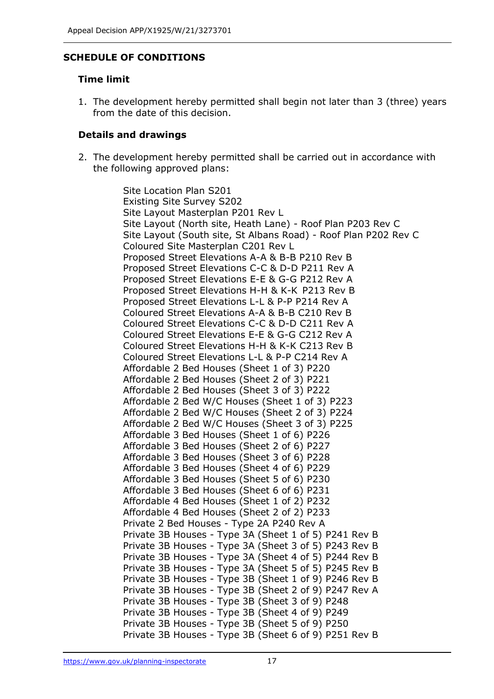## **SCHEDULE OF CONDITIONS**

#### **Time limit**

1. The development hereby permitted shall begin not later than 3 (three) years from the date of this decision.

#### **Details and drawings**

2. The development hereby permitted shall be carried out in accordance with the following approved plans:

> Site Location Plan S201 Existing Site Survey S202 Site Layout Masterplan P201 Rev L Site Layout (North site, Heath Lane) - Roof Plan P203 Rev C Site Layout (South site, St Albans Road) - Roof Plan P202 Rev C Coloured Site Masterplan C201 Rev L Proposed Street Elevations A-A & B-B P210 Rev B Proposed Street Elevations C-C & D-D P211 Rev A Proposed Street Elevations E-E & G-G P212 Rev A Proposed Street Elevations H-H & K-K P213 Rev B Proposed Street Elevations L-L & P-P P214 Rev A Coloured Street Elevations A-A & B-B C210 Rev B Coloured Street Elevations C-C & D-D C211 Rev A Coloured Street Elevations E-E & G-G C212 Rev A Coloured Street Elevations H-H & K-K C213 Rev B Coloured Street Elevations L-L & P-P C214 Rev A Affordable 2 Bed Houses (Sheet 1 of 3) P220 Affordable 2 Bed Houses (Sheet 2 of 3) P221 Affordable 2 Bed Houses (Sheet 3 of 3) P222 Affordable 2 Bed W/C Houses (Sheet 1 of 3) P223 Affordable 2 Bed W/C Houses (Sheet 2 of 3) P224 Affordable 2 Bed W/C Houses (Sheet 3 of 3) P225 Affordable 3 Bed Houses (Sheet 1 of 6) P226 Affordable 3 Bed Houses (Sheet 2 of 6) P227 Affordable 3 Bed Houses (Sheet 3 of 6) P228 Affordable 3 Bed Houses (Sheet 4 of 6) P229 Affordable 3 Bed Houses (Sheet 5 of 6) P230 Affordable 3 Bed Houses (Sheet 6 of 6) P231 Affordable 4 Bed Houses (Sheet 1 of 2) P232 Affordable 4 Bed Houses (Sheet 2 of 2) P233 Private 2 Bed Houses - Type 2A P240 Rev A Private 3B Houses - Type 3A (Sheet 1 of 5) P241 Rev B Private 3B Houses - Type 3A (Sheet 3 of 5) P243 Rev B Private 3B Houses - Type 3A (Sheet 4 of 5) P244 Rev B Private 3B Houses - Type 3A (Sheet 5 of 5) P245 Rev B Private 3B Houses - Type 3B (Sheet 1 of 9) P246 Rev B Private 3B Houses - Type 3B (Sheet 2 of 9) P247 Rev A Private 3B Houses - Type 3B (Sheet 3 of 9) P248 Private 3B Houses - Type 3B (Sheet 4 of 9) P249 Private 3B Houses - Type 3B (Sheet 5 of 9) P250 Private 3B Houses - Type 3B (Sheet 6 of 9) P251 Rev B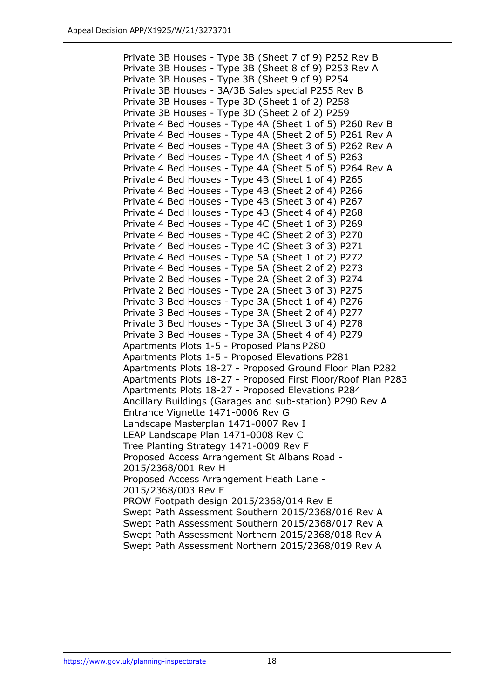Private 3B Houses - Type 3B (Sheet 7 of 9) P252 Rev B Private 3B Houses - Type 3B (Sheet 8 of 9) P253 Rev A Private 3B Houses - Type 3B (Sheet 9 of 9) P254 Private 3B Houses - 3A/3B Sales special P255 Rev B Private 3B Houses - Type 3D (Sheet 1 of 2) P258 Private 3B Houses - Type 3D (Sheet 2 of 2) P259 Private 4 Bed Houses - Type 4A (Sheet 1 of 5) P260 Rev B Private 4 Bed Houses - Type 4A (Sheet 2 of 5) P261 Rev A Private 4 Bed Houses - Type 4A (Sheet 3 of 5) P262 Rev A Private 4 Bed Houses - Type 4A (Sheet 4 of 5) P263 Private 4 Bed Houses - Type 4A (Sheet 5 of 5) P264 Rev A Private 4 Bed Houses - Type 4B (Sheet 1 of 4) P265 Private 4 Bed Houses - Type 4B (Sheet 2 of 4) P266 Private 4 Bed Houses - Type 4B (Sheet 3 of 4) P267 Private 4 Bed Houses - Type 4B (Sheet 4 of 4) P268 Private 4 Bed Houses - Type 4C (Sheet 1 of 3) P269 Private 4 Bed Houses - Type 4C (Sheet 2 of 3) P270 Private 4 Bed Houses - Type 4C (Sheet 3 of 3) P271 Private 4 Bed Houses - Type 5A (Sheet 1 of 2) P272 Private 4 Bed Houses - Type 5A (Sheet 2 of 2) P273 Private 2 Bed Houses - Type 2A (Sheet 2 of 3) P274 Private 2 Bed Houses - Type 2A (Sheet 3 of 3) P275 Private 3 Bed Houses - Type 3A (Sheet 1 of 4) P276 Private 3 Bed Houses - Type 3A (Sheet 2 of 4) P277 Private 3 Bed Houses - Type 3A (Sheet 3 of 4) P278 Private 3 Bed Houses - Type 3A (Sheet 4 of 4) P279 Apartments Plots 1-5 - Proposed Plans P280 Apartments Plots 1-5 - Proposed Elevations P281 Apartments Plots 18-27 - Proposed Ground Floor Plan P282 Apartments Plots 18-27 - Proposed First Floor/Roof Plan P283 Apartments Plots 18-27 - Proposed Elevations P284 Ancillary Buildings (Garages and sub-station) P290 Rev A Entrance Vignette 1471-0006 Rev G Landscape Masterplan 1471-0007 Rev I LEAP Landscape Plan 1471-0008 Rev C Tree Planting Strategy 1471-0009 Rev F Proposed Access Arrangement St Albans Road - 2015/2368/001 Rev H Proposed Access Arrangement Heath Lane - 2015/2368/003 Rev F PROW Footpath design 2015/2368/014 Rev E Swept Path Assessment Southern 2015/2368/016 Rev A Swept Path Assessment Southern 2015/2368/017 Rev A Swept Path Assessment Northern 2015/2368/018 Rev A Swept Path Assessment Northern 2015/2368/019 Rev A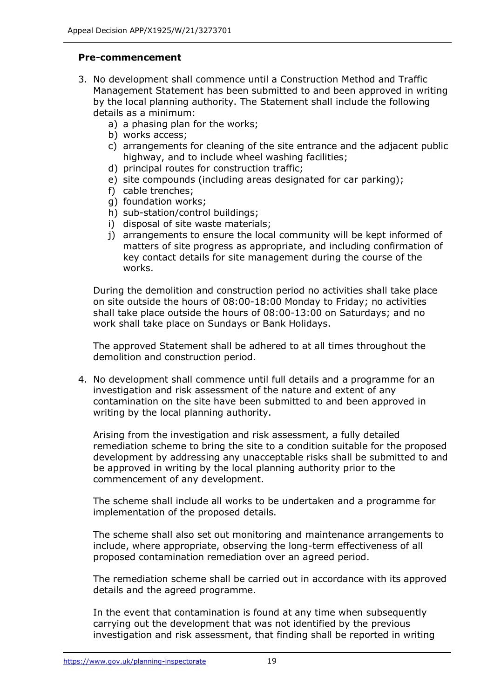# **Pre-commencement**

- 3. No development shall commence until a Construction Method and Traffic Management Statement has been submitted to and been approved in writing by the local planning authority. The Statement shall include the following details as a minimum:
	- a) a phasing plan for the works;
	- b) works access;
	- c) arrangements for cleaning of the site entrance and the adjacent public highway, and to include wheel washing facilities;
	- d) principal routes for construction traffic;
	- e) site compounds (including areas designated for car parking);
	- f) cable trenches;
	- g) foundation works;
	- h) sub-station/control buildings;
	- i) disposal of site waste materials;
	- j) arrangements to ensure the local community will be kept informed of matters of site progress as appropriate, and including confirmation of key contact details for site management during the course of the works.

During the demolition and construction period no activities shall take place on site outside the hours of 08:00-18:00 Monday to Friday; no activities shall take place outside the hours of 08:00-13:00 on Saturdays; and no work shall take place on Sundays or Bank Holidays.

The approved Statement shall be adhered to at all times throughout the demolition and construction period.

4. No development shall commence until full details and a programme for an investigation and risk assessment of the nature and extent of any contamination on the site have been submitted to and been approved in writing by the local planning authority.

Arising from the investigation and risk assessment, a fully detailed remediation scheme to bring the site to a condition suitable for the proposed development by addressing any unacceptable risks shall be submitted to and be approved in writing by the local planning authority prior to the commencement of any development.

The scheme shall include all works to be undertaken and a programme for implementation of the proposed details.

The scheme shall also set out monitoring and maintenance arrangements to include, where appropriate, observing the long-term effectiveness of all proposed contamination remediation over an agreed period.

The remediation scheme shall be carried out in accordance with its approved details and the agreed programme.

In the event that contamination is found at any time when subsequently carrying out the development that was not identified by the previous investigation and risk assessment, that finding shall be reported in writing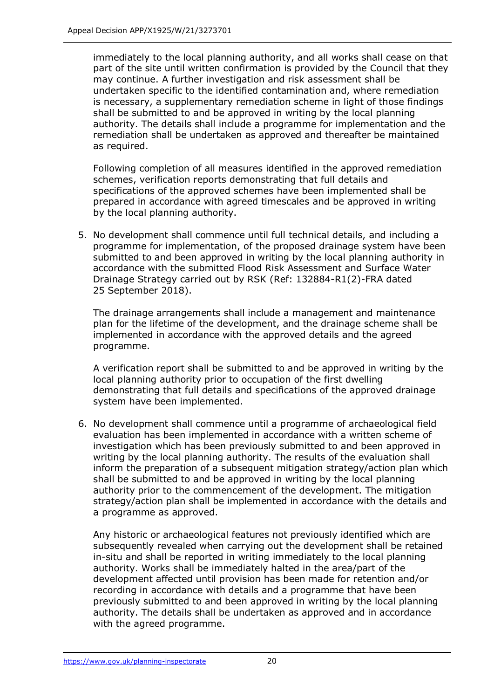immediately to the local planning authority, and all works shall cease on that part of the site until written confirmation is provided by the Council that they may continue. A further investigation and risk assessment shall be undertaken specific to the identified contamination and, where remediation is necessary, a supplementary remediation scheme in light of those findings shall be submitted to and be approved in writing by the local planning authority. The details shall include a programme for implementation and the remediation shall be undertaken as approved and thereafter be maintained as required.

Following completion of all measures identified in the approved remediation schemes, verification reports demonstrating that full details and specifications of the approved schemes have been implemented shall be prepared in accordance with agreed timescales and be approved in writing by the local planning authority.

5. No development shall commence until full technical details, and including a programme for implementation, of the proposed drainage system have been submitted to and been approved in writing by the local planning authority in accordance with the submitted Flood Risk Assessment and Surface Water Drainage Strategy carried out by RSK (Ref: 132884-R1(2)-FRA dated 25 September 2018).

The drainage arrangements shall include a management and maintenance plan for the lifetime of the development, and the drainage scheme shall be implemented in accordance with the approved details and the agreed programme.

A verification report shall be submitted to and be approved in writing by the local planning authority prior to occupation of the first dwelling demonstrating that full details and specifications of the approved drainage system have been implemented.

6. No development shall commence until a programme of archaeological field evaluation has been implemented in accordance with a written scheme of investigation which has been previously submitted to and been approved in writing by the local planning authority. The results of the evaluation shall inform the preparation of a subsequent mitigation strategy/action plan which shall be submitted to and be approved in writing by the local planning authority prior to the commencement of the development. The mitigation strategy/action plan shall be implemented in accordance with the details and a programme as approved.

Any historic or archaeological features not previously identified which are subsequently revealed when carrying out the development shall be retained in-situ and shall be reported in writing immediately to the local planning authority. Works shall be immediately halted in the area/part of the development affected until provision has been made for retention and/or recording in accordance with details and a programme that have been previously submitted to and been approved in writing by the local planning authority. The details shall be undertaken as approved and in accordance with the agreed programme.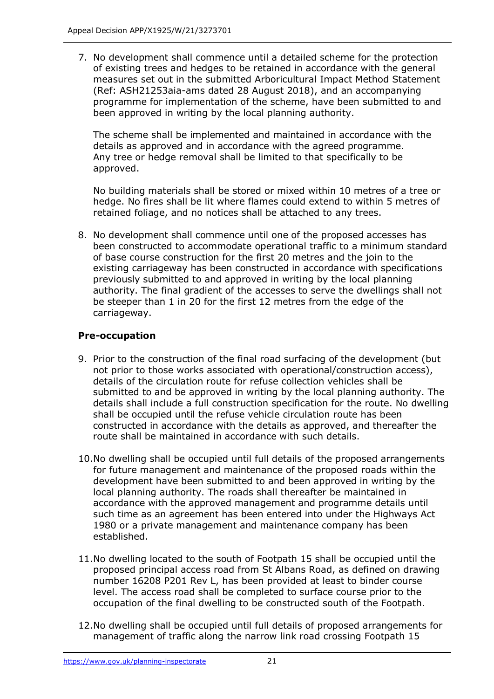7. No development shall commence until a detailed scheme for the protection of existing trees and hedges to be retained in accordance with the general measures set out in the submitted Arboricultural Impact Method Statement (Ref: ASH21253aia-ams dated 28 August 2018), and an accompanying programme for implementation of the scheme, have been submitted to and been approved in writing by the local planning authority.

The scheme shall be implemented and maintained in accordance with the details as approved and in accordance with the agreed programme. Any tree or hedge removal shall be limited to that specifically to be approved.

No building materials shall be stored or mixed within 10 metres of a tree or hedge. No fires shall be lit where flames could extend to within 5 metres of retained foliage, and no notices shall be attached to any trees.

8. No development shall commence until one of the proposed accesses has been constructed to accommodate operational traffic to a minimum standard of base course construction for the first 20 metres and the join to the existing carriageway has been constructed in accordance with specifications previously submitted to and approved in writing by the local planning authority. The final gradient of the accesses to serve the dwellings shall not be steeper than 1 in 20 for the first 12 metres from the edge of the carriageway.

# **Pre-occupation**

- 9. Prior to the construction of the final road surfacing of the development (but not prior to those works associated with operational/construction access), details of the circulation route for refuse collection vehicles shall be submitted to and be approved in writing by the local planning authority. The details shall include a full construction specification for the route. No dwelling shall be occupied until the refuse vehicle circulation route has been constructed in accordance with the details as approved, and thereafter the route shall be maintained in accordance with such details.
- 10.No dwelling shall be occupied until full details of the proposed arrangements for future management and maintenance of the proposed roads within the development have been submitted to and been approved in writing by the local planning authority. The roads shall thereafter be maintained in accordance with the approved management and programme details until such time as an agreement has been entered into under the Highways Act 1980 or a private management and maintenance company has been established.
- 11.No dwelling located to the south of Footpath 15 shall be occupied until the proposed principal access road from St Albans Road, as defined on drawing number 16208 P201 Rev L, has been provided at least to binder course level. The access road shall be completed to surface course prior to the occupation of the final dwelling to be constructed south of the Footpath.
- 12.No dwelling shall be occupied until full details of proposed arrangements for management of traffic along the narrow link road crossing Footpath 15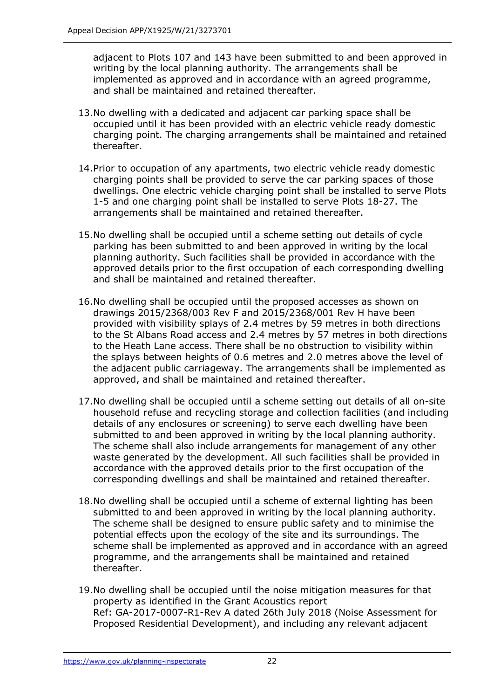adjacent to Plots 107 and 143 have been submitted to and been approved in writing by the local planning authority. The arrangements shall be implemented as approved and in accordance with an agreed programme, and shall be maintained and retained thereafter.

- 13.No dwelling with a dedicated and adjacent car parking space shall be occupied until it has been provided with an electric vehicle ready domestic charging point. The charging arrangements shall be maintained and retained thereafter.
- 14.Prior to occupation of any apartments, two electric vehicle ready domestic charging points shall be provided to serve the car parking spaces of those dwellings. One electric vehicle charging point shall be installed to serve Plots 1-5 and one charging point shall be installed to serve Plots 18-27. The arrangements shall be maintained and retained thereafter.
- 15.No dwelling shall be occupied until a scheme setting out details of cycle parking has been submitted to and been approved in writing by the local planning authority. Such facilities shall be provided in accordance with the approved details prior to the first occupation of each corresponding dwelling and shall be maintained and retained thereafter.
- 16.No dwelling shall be occupied until the proposed accesses as shown on drawings 2015/2368/003 Rev F and 2015/2368/001 Rev H have been provided with visibility splays of 2.4 metres by 59 metres in both directions to the St Albans Road access and 2.4 metres by 57 metres in both directions to the Heath Lane access. There shall be no obstruction to visibility within the splays between heights of 0.6 metres and 2.0 metres above the level of the adjacent public carriageway. The arrangements shall be implemented as approved, and shall be maintained and retained thereafter.
- 17.No dwelling shall be occupied until a scheme setting out details of all on-site household refuse and recycling storage and collection facilities (and including details of any enclosures or screening) to serve each dwelling have been submitted to and been approved in writing by the local planning authority. The scheme shall also include arrangements for management of any other waste generated by the development. All such facilities shall be provided in accordance with the approved details prior to the first occupation of the corresponding dwellings and shall be maintained and retained thereafter.
- 18.No dwelling shall be occupied until a scheme of external lighting has been submitted to and been approved in writing by the local planning authority. The scheme shall be designed to ensure public safety and to minimise the potential effects upon the ecology of the site and its surroundings. The scheme shall be implemented as approved and in accordance with an agreed programme, and the arrangements shall be maintained and retained thereafter.
- 19.No dwelling shall be occupied until the noise mitigation measures for that property as identified in the Grant Acoustics report Ref: GA-2017-0007-R1-Rev A dated 26th July 2018 (Noise Assessment for Proposed Residential Development), and including any relevant adjacent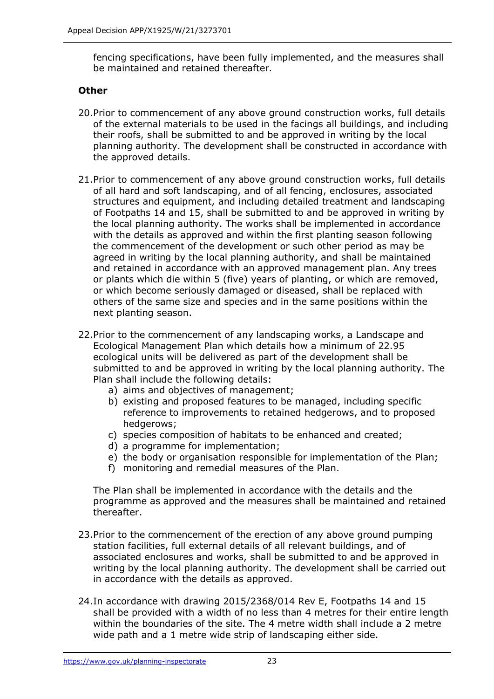fencing specifications, have been fully implemented, and the measures shall be maintained and retained thereafter.

# **Other**

- 20.Prior to commencement of any above ground construction works, full details of the external materials to be used in the facings all buildings, and including their roofs, shall be submitted to and be approved in writing by the local planning authority. The development shall be constructed in accordance with the approved details.
- 21.Prior to commencement of any above ground construction works, full details of all hard and soft landscaping, and of all fencing, enclosures, associated structures and equipment, and including detailed treatment and landscaping of Footpaths 14 and 15, shall be submitted to and be approved in writing by the local planning authority. The works shall be implemented in accordance with the details as approved and within the first planting season following the commencement of the development or such other period as may be agreed in writing by the local planning authority, and shall be maintained and retained in accordance with an approved management plan. Any trees or plants which die within 5 (five) years of planting, or which are removed, or which become seriously damaged or diseased, shall be replaced with others of the same size and species and in the same positions within the next planting season.
- 22.Prior to the commencement of any landscaping works, a Landscape and Ecological Management Plan which details how a minimum of 22.95 ecological units will be delivered as part of the development shall be submitted to and be approved in writing by the local planning authority. The Plan shall include the following details:
	- a) aims and objectives of management;
	- b) existing and proposed features to be managed, including specific reference to improvements to retained hedgerows, and to proposed hedgerows:
	- c) species composition of habitats to be enhanced and created;
	- d) a programme for implementation;
	- e) the body or organisation responsible for implementation of the Plan;
	- f) monitoring and remedial measures of the Plan.

The Plan shall be implemented in accordance with the details and the programme as approved and the measures shall be maintained and retained thereafter.

- 23.Prior to the commencement of the erection of any above ground pumping station facilities, full external details of all relevant buildings, and of associated enclosures and works, shall be submitted to and be approved in writing by the local planning authority. The development shall be carried out in accordance with the details as approved.
- 24.In accordance with drawing 2015/2368/014 Rev E, Footpaths 14 and 15 shall be provided with a width of no less than 4 metres for their entire length within the boundaries of the site. The 4 metre width shall include a 2 metre wide path and a 1 metre wide strip of landscaping either side.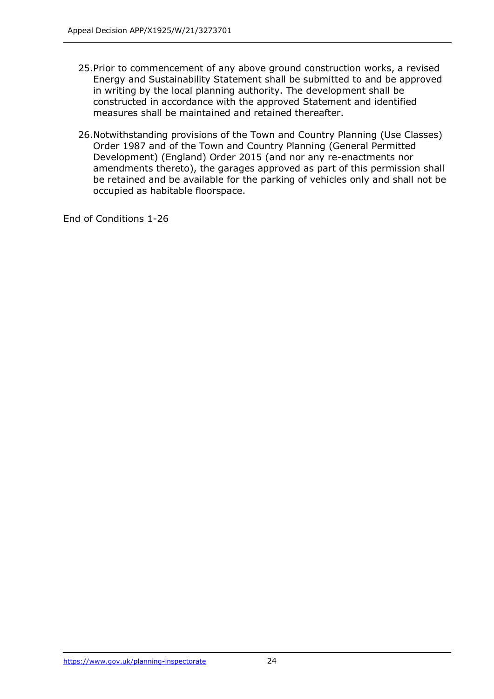- 25.Prior to commencement of any above ground construction works, a revised Energy and Sustainability Statement shall be submitted to and be approved in writing by the local planning authority. The development shall be constructed in accordance with the approved Statement and identified measures shall be maintained and retained thereafter.
- 26.Notwithstanding provisions of the Town and Country Planning (Use Classes) Order 1987 and of the Town and Country Planning (General Permitted Development) (England) Order 2015 (and nor any re-enactments nor amendments thereto), the garages approved as part of this permission shall be retained and be available for the parking of vehicles only and shall not be occupied as habitable floorspace.

End of Conditions 1-26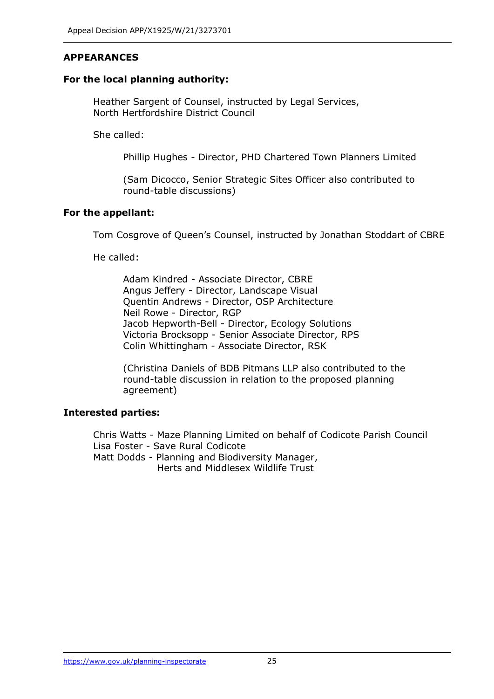# **APPEARANCES**

## **For the local planning authority:**

Heather Sargent of Counsel, instructed by Legal Services, North Hertfordshire District Council

She called:

Phillip Hughes - Director, PHD Chartered Town Planners Limited

(Sam Dicocco, Senior Strategic Sites Officer also contributed to round-table discussions)

# **For the appellant:**

Tom Cosgrove of Queen's Counsel, instructed by Jonathan Stoddart of CBRE

He called:

Adam Kindred - Associate Director, CBRE Angus Jeffery - Director, Landscape Visual Quentin Andrews - Director, OSP Architecture Neil Rowe - Director, RGP Jacob Hepworth-Bell - Director, Ecology Solutions Victoria Brocksopp - Senior Associate Director, RPS Colin Whittingham - Associate Director, RSK

(Christina Daniels of BDB Pitmans LLP also contributed to the round-table discussion in relation to the proposed planning agreement)

# **Interested parties:**

Chris Watts - Maze Planning Limited on behalf of Codicote Parish Council Lisa Foster - Save Rural Codicote Matt Dodds - Planning and Biodiversity Manager, Herts and Middlesex Wildlife Trust